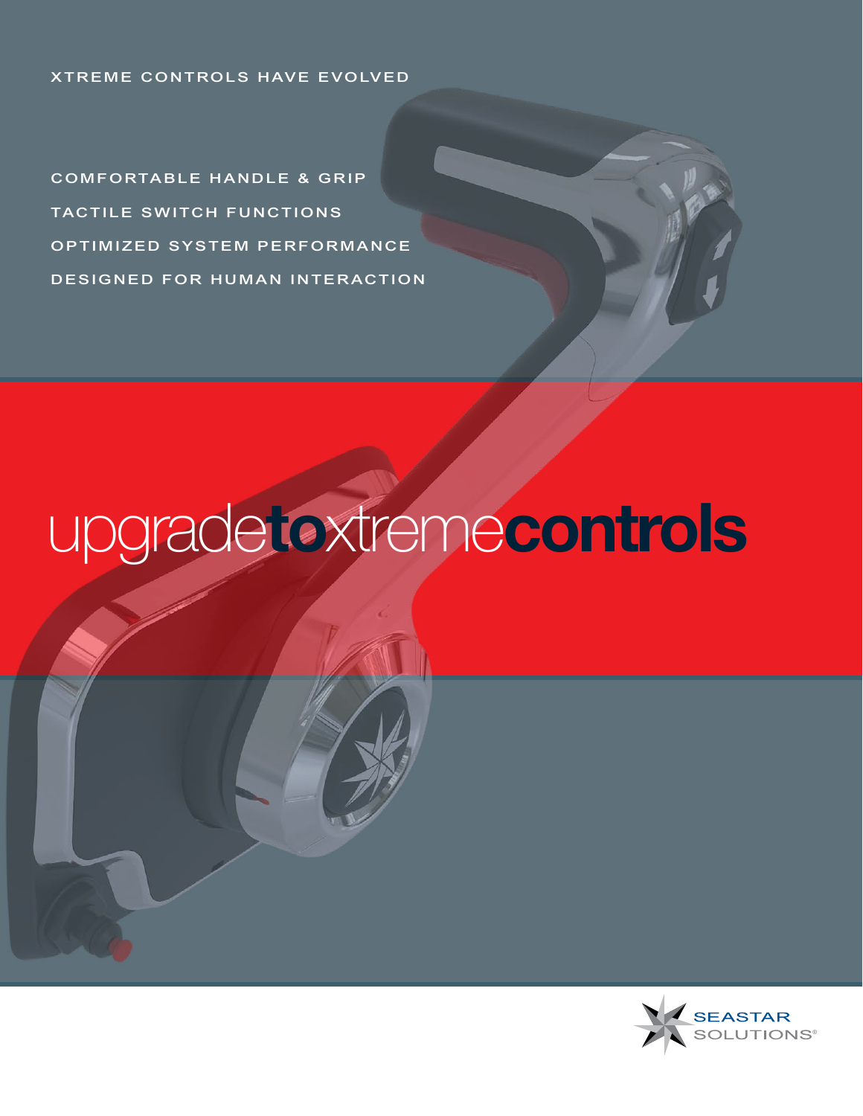#### XTREME CONTROLS HAVE EVOLVED

COMFORTABLE HANDLE & GRIP TACTILE SWITCH FUNCTIONS OPTIMIZED SYSTEM PERFORMANCE DESIGNED FOR HUMAN INTERACTION

# upgrade**to**xtreme**controls**

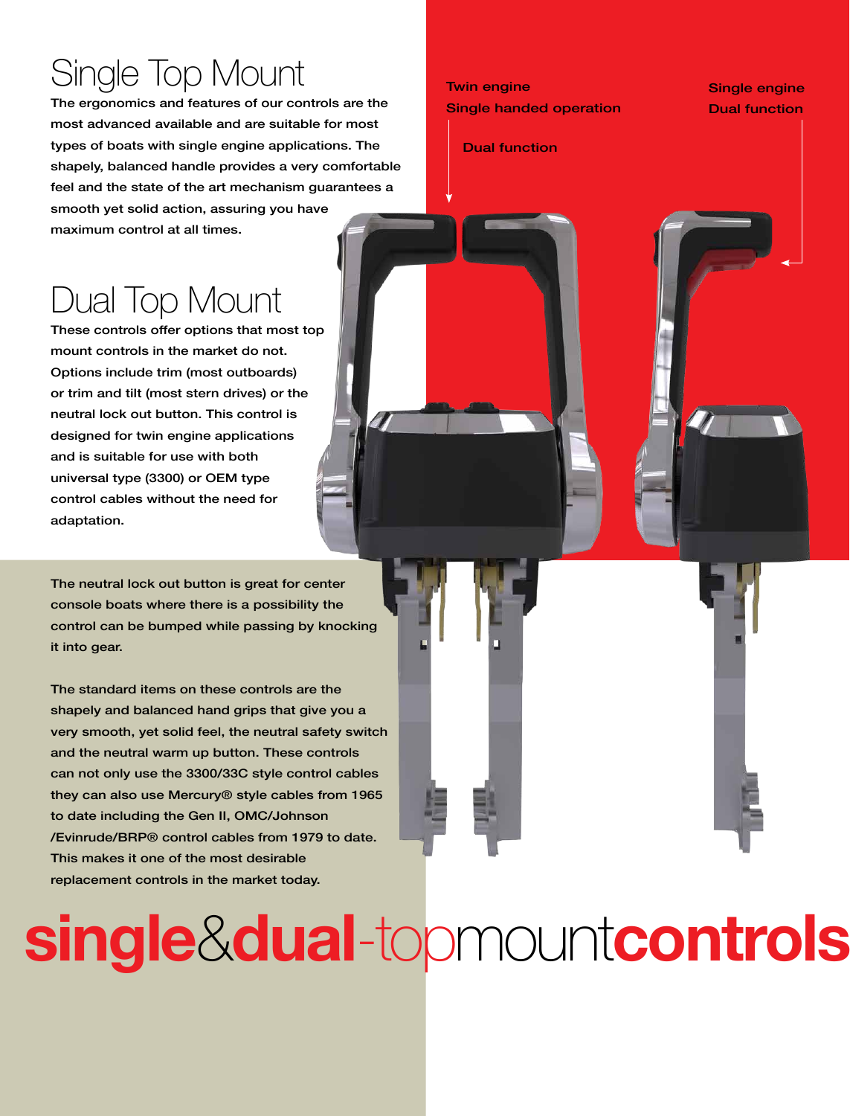# Single Top Mount

The ergonomics and features of our controls are the most advanced available and are suitable for most types of boats with single engine applications. The shapely, balanced handle provides a very comfortable feel and the state of the art mechanism guarantees a smooth yet solid action, assuring you have maximum control at all times.

## Dual Top Mount

These controls offer options that most top mount controls in the market do not. Options include trim (most outboards) or trim and tilt (most stern drives) or the neutral lock out button. This control is designed for twin engine applications and is suitable for use with both universal type (3300) or OEM type control cables without the need for adaptation.

The neutral lock out button is great for center console boats where there is a possibility the control can be bumped while passing by knocking it into gear.

The standard items on these controls are the shapely and balanced hand grips that give you a very smooth, yet solid feel, the neutral safety switch and the neutral warm up button. These controls can not only use the 3300/33C style control cables they can also use Mercury® style cables from 1965 to date including the Gen II, OMC/Johnson /Evinrude/BRP® control cables from 1979 to date. This makes it one of the most desirable replacement controls in the market today.

#### Twin engine Single handed operation

Single engine Dual function

Dual function

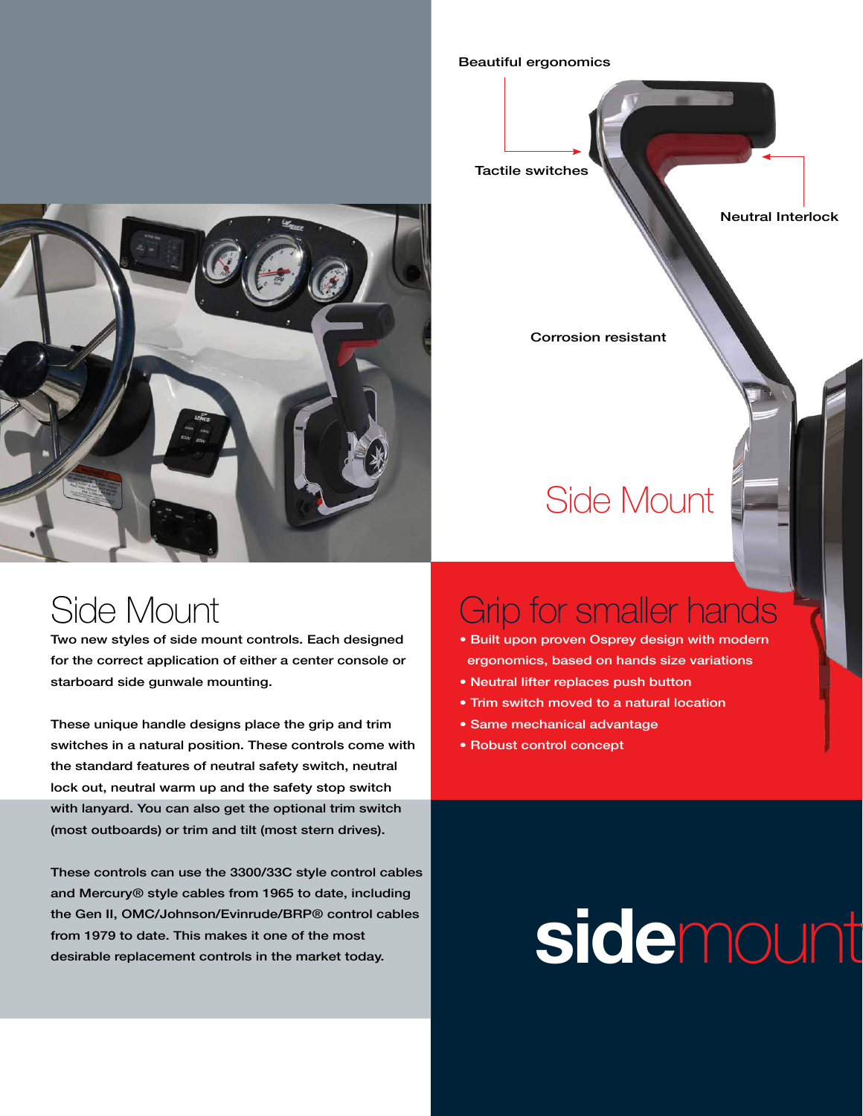### Side Mount

Two new styles of side mount controls. Each designed for the correct application of either a center console or starboard side gunwale mounting.

These unique handle designs place the grip and trim switches in a natural position. These controls come with the standard features of neutral safety switch, neutral lock out, neutral warm up and the safety stop switch with lanyard. You can also get the optional trim switch (most outboards) or trim and tilt (most stern drives).

These controls can use the 3300/33C style control cables and Mercury® style cables from 1965 to date, including the Gen II, OMC/Johnson/Evinrude/BRP® control cables from 1979 to date. This makes it one of the most desirable replacement controls in the market today.

#### Beautiful ergonomics



Corrosion resistant

# Side Mount

### Grip for smaller hands

- Built upon proven Osprey design with modern ergonomics, based on hands size variations
- Neutral lifter replaces push button
- Trim switch moved to a natural location
- Same mechanical advantage
- Robust control concept

# **sidemount**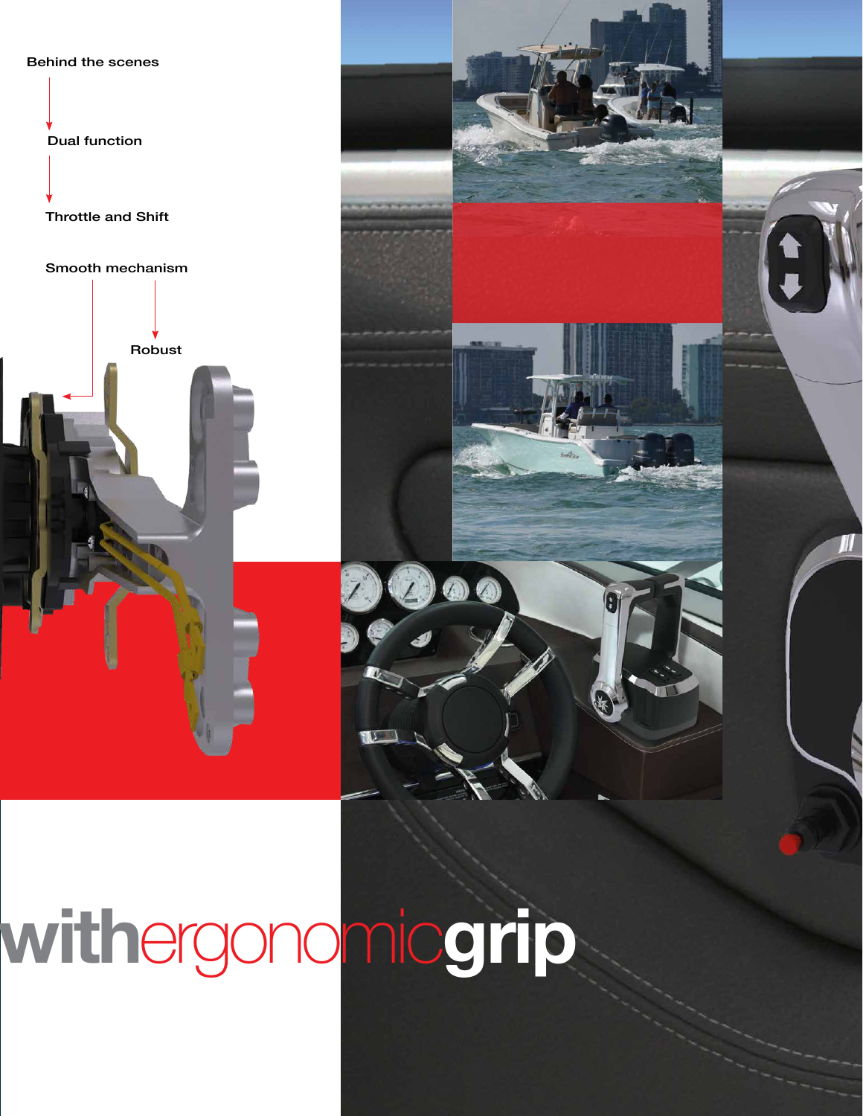

Dual function

Throttle and Shift

Smooth mechanism

Robust



TII

# **side**mount**with**ergonomic**grip**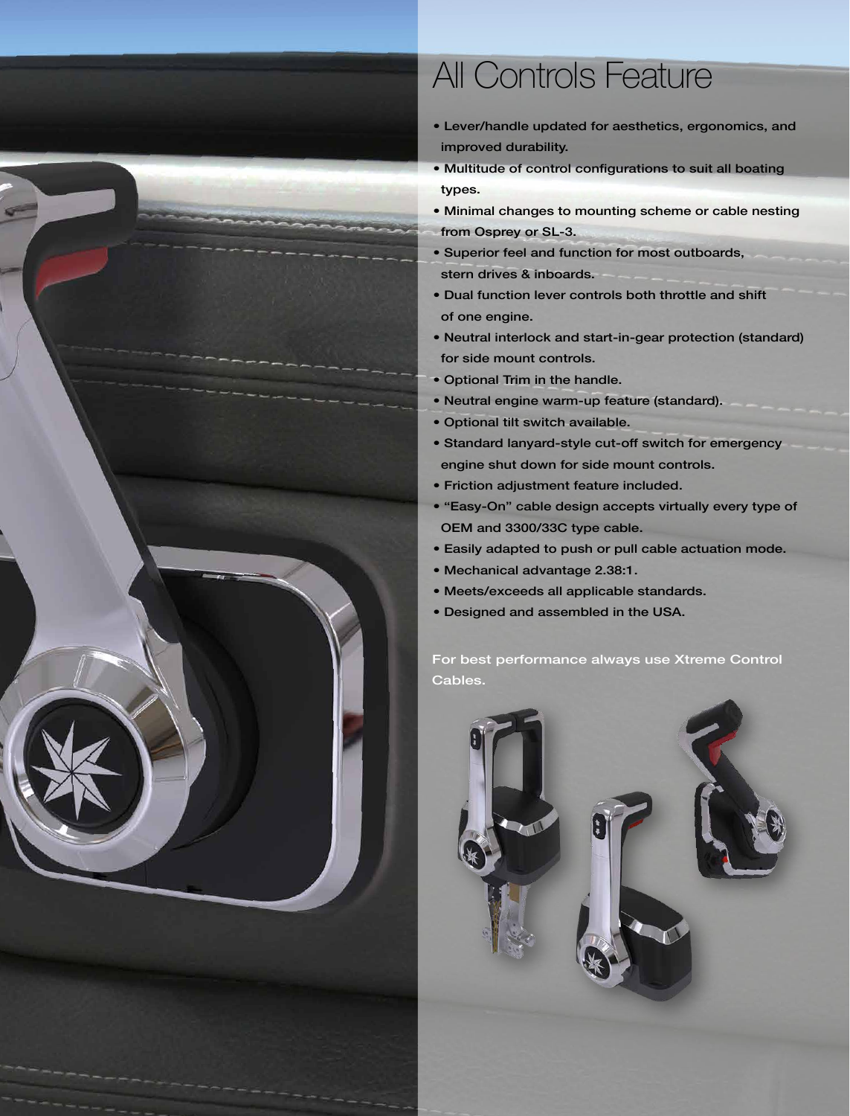

## All Controls Feature

- Lever/handle updated for aesthetics, ergonomics, and improved durability.
- Multitude of control configurations to suit all boating types.
- Minimal changes to mounting scheme or cable nesting from Osprey or SL-3.
- Superior feel and function for most outboards, stern drives & inboards.
- Dual function lever controls both throttle and shift of one engine.
- Neutral interlock and start-in-gear protection (standard) for side mount controls.
- Optional Trim in the handle.
- Neutral engine warm-up feature (standard).
- Optional tilt switch available.
- Standard lanyard-style cut-off switch for emergency engine shut down for side mount controls.
- Friction adjustment feature included.
- "Easy-On" cable design accepts virtually every type of OEM and 3300/33C type cable.
- Easily adapted to push or pull cable actuation mode.
- Mechanical advantage 2.38:1.
- Meets/exceeds all applicable standards.
- Designed and assembled in the USA.

For best performance always use Xtreme Control Cables.